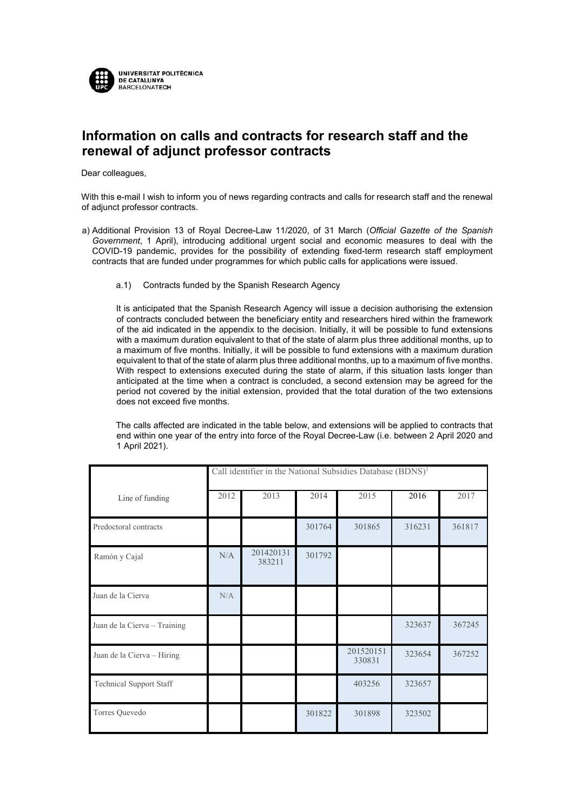

## **Information on calls and contracts for research staff and the renewal of adjunct professor contracts**

Dear colleagues,

With this e-mail I wish to inform you of news regarding contracts and calls for research staff and the renewal of adjunct professor contracts.

- a) Additional Provision 13 of Royal Decree-Law 11/2020, of 31 March (*Official Gazette of the Spanish Government*, 1 April), introducing additional urgent social and economic measures to deal with the COVID-19 pandemic, provides for the possibility of extending fixed-term research staff employment contracts that are funded under programmes for which public calls for applications were issued.
	- a.1) Contracts funded by the Spanish Research Agency

It is anticipated that the Spanish Research Agency will issue a decision authorising the extension of contracts concluded between the beneficiary entity and researchers hired within the framework of the aid indicated in the appendix to the decision. Initially, it will be possible to fund extensions with a maximum duration equivalent to that of the state of alarm plus three additional months, up to a maximum of five months. Initially, it will be possible to fund extensions with a maximum duration equivalent to that of the state of alarm plus three additional months, up to a maximum of five months. With respect to extensions executed during the state of alarm, if this situation lasts longer than anticipated at the time when a contract is concluded, a second extension may be agreed for the period not covered by the initial extension, provided that the total duration of the two extensions does not exceed five months.

The calls affected are indicated in the table below, and extensions will be applied to contracts that end within one year of the entry into force of the Royal Decree-Law (i.e. between 2 April 2020 and 1 April 2021).

|                                | Call identifier in the National Subsidies Database (BDNS) <sup>1</sup> |                     |        |                     |        |        |
|--------------------------------|------------------------------------------------------------------------|---------------------|--------|---------------------|--------|--------|
| Line of funding                | 2012                                                                   | 2013                | 2014   | 2015                | 2016   | 2017   |
| Predoctoral contracts          |                                                                        |                     | 301764 | 301865              | 316231 | 361817 |
| Ramón y Cajal                  | N/A                                                                    | 201420131<br>383211 | 301792 |                     |        |        |
| Juan de la Cierva              | N/A                                                                    |                     |        |                     |        |        |
| Juan de la Cierva - Training   |                                                                        |                     |        |                     | 323637 | 367245 |
| Juan de la Cierva - Hiring     |                                                                        |                     |        | 201520151<br>330831 | 323654 | 367252 |
| <b>Technical Support Staff</b> |                                                                        |                     |        | 403256              | 323657 |        |
| Torres Quevedo                 |                                                                        |                     | 301822 | 301898              | 323502 |        |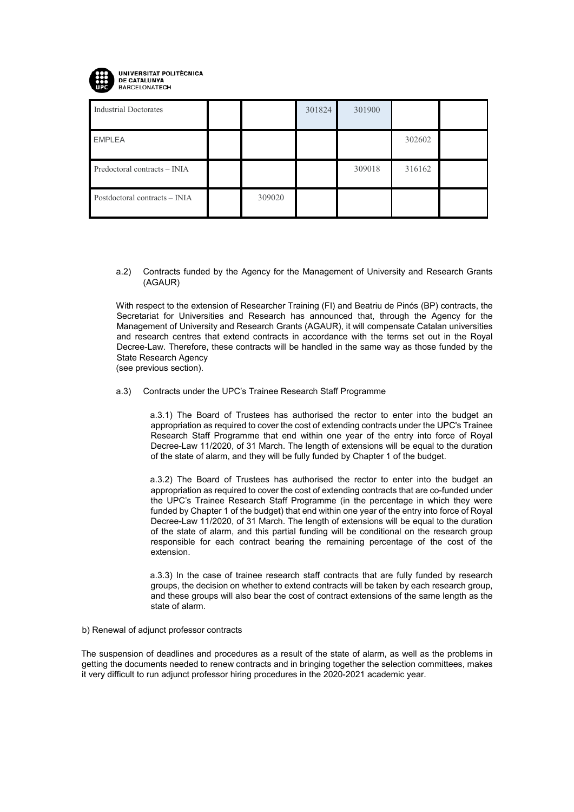

Industrial Doctorates 301824 301900 EMPLEA 302602 Predoctoral contracts – INIA 309018 316162 Postdoctoral contracts – INIA 309020

a.2) Contracts funded by the Agency for the Management of University and Research Grants (AGAUR)

With respect to the extension of Researcher Training (FI) and Beatriu de Pinós (BP) contracts, the Secretariat for Universities and Research has announced that, through the Agency for the Management of University and Research Grants (AGAUR), it will compensate Catalan universities and research centres that extend contracts in accordance with the terms set out in the Royal Decree-Law. Therefore, these contracts will be handled in the same way as those funded by the State Research Agency

(see previous section).

a.3) Contracts under the UPC's Trainee Research Staff Programme

a.3.1) The Board of Trustees has authorised the rector to enter into the budget an appropriation as required to cover the cost of extending contracts under the UPC's Trainee Research Staff Programme that end within one year of the entry into force of Royal Decree-Law 11/2020, of 31 March. The length of extensions will be equal to the duration of the state of alarm, and they will be fully funded by Chapter 1 of the budget.

a.3.2) The Board of Trustees has authorised the rector to enter into the budget an appropriation as required to cover the cost of extending contracts that are co-funded under the UPC's Trainee Research Staff Programme (in the percentage in which they were funded by Chapter 1 of the budget) that end within one year of the entry into force of Royal Decree-Law 11/2020, of 31 March. The length of extensions will be equal to the duration of the state of alarm, and this partial funding will be conditional on the research group responsible for each contract bearing the remaining percentage of the cost of the extension.

a.3.3) In the case of trainee research staff contracts that are fully funded by research groups, the decision on whether to extend contracts will be taken by each research group, and these groups will also bear the cost of contract extensions of the same length as the state of alarm.

## b) Renewal of adjunct professor contracts

The suspension of deadlines and procedures as a result of the state of alarm, as well as the problems in getting the documents needed to renew contracts and in bringing together the selection committees, makes it very difficult to run adjunct professor hiring procedures in the 2020-2021 academic year.